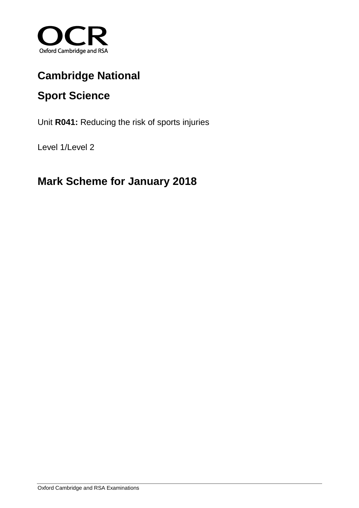

# **Cambridge National**

# **Sport Science**

Unit **R041:** Reducing the risk of sports injuries

Level 1/Level 2

## **Mark Scheme for January 2018**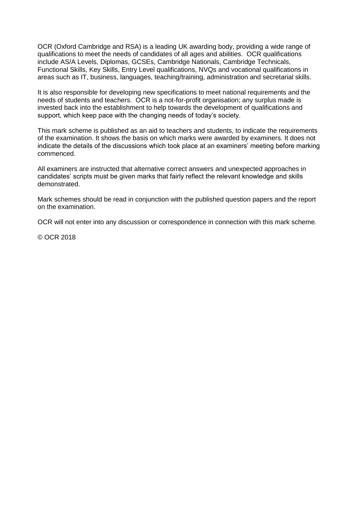OCR (Oxford Cambridge and RSA) is a leading UK awarding body, providing a wide range of qualifications to meet the needs of candidates of all ages and abilities. OCR qualifications include AS/A Levels, Diplomas, GCSEs, Cambridge Nationals, Cambridge Technicals, Functional Skills, Key Skills, Entry Level qualifications, NVQs and vocational qualifications in areas such as IT, business, languages, teaching/training, administration and secretarial skills.

It is also responsible for developing new specifications to meet national requirements and the needs of students and teachers. OCR is a not-for-profit organisation; any surplus made is invested back into the establishment to help towards the development of qualifications and support, which keep pace with the changing needs of today's society.

This mark scheme is published as an aid to teachers and students, to indicate the requirements of the examination. It shows the basis on which marks were awarded by examiners. It does not indicate the details of the discussions which took place at an examiners' meeting before marking commenced.

All examiners are instructed that alternative correct answers and unexpected approaches in candidates' scripts must be given marks that fairly reflect the relevant knowledge and skills demonstrated.

Mark schemes should be read in conjunction with the published question papers and the report on the examination.

OCR will not enter into any discussion or correspondence in connection with this mark scheme.

© OCR 2018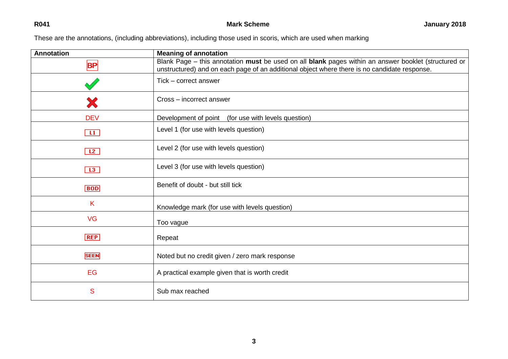These are the annotations, (including abbreviations), including those used in scoris, which are used when marking

| <b>Annotation</b> | <b>Meaning of annotation</b>                                                                                                                                                                         |
|-------------------|------------------------------------------------------------------------------------------------------------------------------------------------------------------------------------------------------|
| BP                | Blank Page - this annotation must be used on all blank pages within an answer booklet (structured or<br>unstructured) and on each page of an additional object where there is no candidate response. |
|                   | Tick - correct answer                                                                                                                                                                                |
| Х                 | Cross - incorrect answer                                                                                                                                                                             |
| <b>DEV</b>        | Development of point (for use with levels question)                                                                                                                                                  |
| $\mathbf{H}$      | Level 1 (for use with levels question)                                                                                                                                                               |
| L2                | Level 2 (for use with levels question)                                                                                                                                                               |
| L3                | Level 3 (for use with levels question)                                                                                                                                                               |
| <b>BOD</b>        | Benefit of doubt - but still tick                                                                                                                                                                    |
| K                 | Knowledge mark (for use with levels question)                                                                                                                                                        |
| <b>VG</b>         | Too vague                                                                                                                                                                                            |
| <b>REP</b>        | Repeat                                                                                                                                                                                               |
| <b>SEEN</b>       | Noted but no credit given / zero mark response                                                                                                                                                       |
| EG                | A practical example given that is worth credit                                                                                                                                                       |
| S                 | Sub max reached                                                                                                                                                                                      |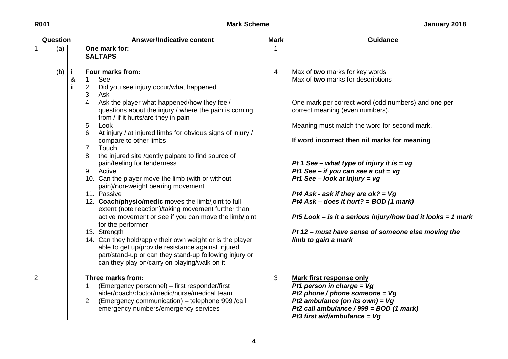| Question       |     |         | <b>Answer/Indicative content</b>                                                                                                                                                                                                                                                                                                                                                                                                                                                                                                                                                                                                                                                                                                                                                                                                                                                                                                                                                                                      |   | <b>Guidance</b>                                                                                                                                                                                                                                                                                                                                                                                                                                                                                                                                                                                                       |
|----------------|-----|---------|-----------------------------------------------------------------------------------------------------------------------------------------------------------------------------------------------------------------------------------------------------------------------------------------------------------------------------------------------------------------------------------------------------------------------------------------------------------------------------------------------------------------------------------------------------------------------------------------------------------------------------------------------------------------------------------------------------------------------------------------------------------------------------------------------------------------------------------------------------------------------------------------------------------------------------------------------------------------------------------------------------------------------|---|-----------------------------------------------------------------------------------------------------------------------------------------------------------------------------------------------------------------------------------------------------------------------------------------------------------------------------------------------------------------------------------------------------------------------------------------------------------------------------------------------------------------------------------------------------------------------------------------------------------------------|
|                | (a) |         | One mark for:<br><b>SALTAPS</b>                                                                                                                                                                                                                                                                                                                                                                                                                                                                                                                                                                                                                                                                                                                                                                                                                                                                                                                                                                                       |   |                                                                                                                                                                                                                                                                                                                                                                                                                                                                                                                                                                                                                       |
|                | (b) | &<br>ii | Four marks from:<br>See<br>1.<br>2.<br>Did you see injury occur/what happened<br>3. Ask<br>4. Ask the player what happened/how they feel/<br>questions about the injury / where the pain is coming<br>from / if it hurts/are they in pain<br>5.<br>Look<br>6. At injury / at injured limbs for obvious signs of injury /<br>compare to other limbs<br>7. Touch<br>8. the injured site /gently palpate to find source of<br>pain/feeling for tenderness<br>9. Active<br>10. Can the player move the limb (with or without<br>pain)/non-weight bearing movement<br>11. Passive<br>12. Coach/physio/medic moves the limb/joint to full<br>extent (note reaction)/taking movement further than<br>active movement or see if you can move the limb/joint<br>for the performer<br>13. Strength<br>14. Can they hold/apply their own weight or is the player<br>able to get up/provide resistance against injured<br>part/stand-up or can they stand-up following injury or<br>can they play on/carry on playing/walk on it. | 4 | Max of two marks for key words<br>Max of two marks for descriptions<br>One mark per correct word (odd numbers) and one per<br>correct meaning (even numbers).<br>Meaning must match the word for second mark.<br>If word incorrect then nil marks for meaning<br>Pt 1 See – what type of injury it is = vg<br>Pt1 See - if you can see a cut = $vg$<br>Pt1 See - look at injury = $vg$<br>Pt4 Ask - ask if they are $ok? = Vg$<br>Pt4 Ask – does it hurt? = $BOD(1$ mark)<br>Pt5 Look – is it a serious injury/how bad it looks = 1 mark<br>Pt 12 - must have sense of someone else moving the<br>limb to gain a mark |
| $\overline{2}$ |     |         | Three marks from:<br>1. (Emergency personnel) - first responder/first<br>aider/coach/doctor/medic/nurse/medical team<br>2. (Emergency communication) – telephone 999 / call<br>emergency numbers/emergency services                                                                                                                                                                                                                                                                                                                                                                                                                                                                                                                                                                                                                                                                                                                                                                                                   | 3 | <b>Mark first response only</b><br>Pt1 person in charge = $Vg$<br>Pt2 phone / phone someone = $Vg$<br>Pt2 ambulance (on its own) = $Vg$<br>Pt2 call ambulance / 999 = BOD (1 mark)<br>Pt3 first aid/ambulance = $Vq$                                                                                                                                                                                                                                                                                                                                                                                                  |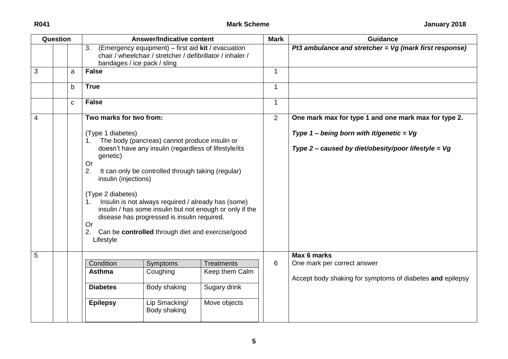| Question |             | <b>Answer/Indicative content</b>                                                                                                                        |                                                                                                                                                                                                                                                                                                                        | <b>Mark</b>                                              | <b>Guidance</b> |                                                                                                     |
|----------|-------------|---------------------------------------------------------------------------------------------------------------------------------------------------------|------------------------------------------------------------------------------------------------------------------------------------------------------------------------------------------------------------------------------------------------------------------------------------------------------------------------|----------------------------------------------------------|-----------------|-----------------------------------------------------------------------------------------------------|
|          |             | 3.                                                                                                                                                      | (Emergency equipment) – first aid $\mathsf{k}$ it $\overline{\phantom{a}}$ evacuation<br>chair / wheelchair / stretcher / defibrillator / inhaler /<br>bandages / ice pack / sling                                                                                                                                     |                                                          |                 | Pt3 ambulance and stretcher = $Vg$ (mark first response)                                            |
| 3        | a           | <b>False</b>                                                                                                                                            |                                                                                                                                                                                                                                                                                                                        |                                                          | 1               |                                                                                                     |
|          | b           | <b>True</b>                                                                                                                                             |                                                                                                                                                                                                                                                                                                                        |                                                          | $\mathbf{1}$    |                                                                                                     |
|          | $\mathbf C$ | <b>False</b>                                                                                                                                            |                                                                                                                                                                                                                                                                                                                        |                                                          | $\mathbf{1}$    |                                                                                                     |
| 4        |             | Two marks for two from:                                                                                                                                 |                                                                                                                                                                                                                                                                                                                        |                                                          | 2               | One mark max for type 1 and one mark max for type 2.                                                |
|          |             | (Type 1 diabetes)<br>$1_{\cdot}$<br>genetic)<br><b>Or</b><br>2.<br>insulin (injections)<br>(Type 2 diabetes)<br>$1_{-}$<br><b>Or</b><br>2.<br>Lifestyle | The body (pancreas) cannot produce insulin or<br>doesn't have any insulin (regardless of lifestyle/its<br>It can only be controlled through taking (regular)<br>Insulin is not always required / already has (some)<br>disease has progressed is insulin required.<br>Can be controlled through diet and exercise/good | insulin / has some insulin but not enough or only if the |                 | Type 1 – being born with it/genetic = $Vg$<br>Type 2 – caused by diet/obesity/poor lifestyle = $Vg$ |
| 5        |             | Condition                                                                                                                                               | Symptoms                                                                                                                                                                                                                                                                                                               | <b>Treatments</b>                                        | 6               | Max 6 marks<br>One mark per correct answer                                                          |
|          |             | <b>Asthma</b>                                                                                                                                           | Coughing                                                                                                                                                                                                                                                                                                               | Keep them Calm                                           |                 | Accept body shaking for symptoms of diabetes and epilepsy                                           |
|          |             | <b>Diabetes</b>                                                                                                                                         | Body shaking                                                                                                                                                                                                                                                                                                           | Sugary drink                                             |                 |                                                                                                     |
|          |             | <b>Epilepsy</b>                                                                                                                                         | Lip Smacking/<br>Body shaking                                                                                                                                                                                                                                                                                          | Move objects                                             |                 |                                                                                                     |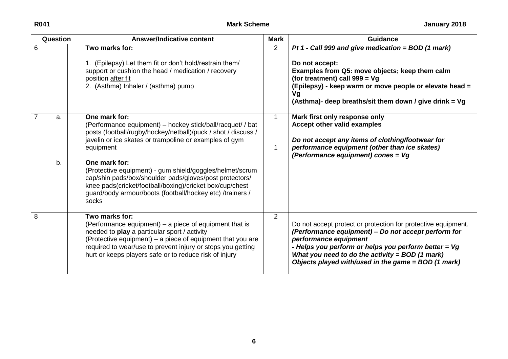| Question       |          | <b>Answer/Indicative content</b>                                                                                                                                                                                                                                                                                                                                                                                                                                                              |                | <b>Guidance</b>                                                                                                                                                                                                                                                                                                    |  |
|----------------|----------|-----------------------------------------------------------------------------------------------------------------------------------------------------------------------------------------------------------------------------------------------------------------------------------------------------------------------------------------------------------------------------------------------------------------------------------------------------------------------------------------------|----------------|--------------------------------------------------------------------------------------------------------------------------------------------------------------------------------------------------------------------------------------------------------------------------------------------------------------------|--|
| 6              |          | Two marks for:<br>1. (Epilepsy) Let them fit or don't hold/restrain them/<br>support or cushion the head / medication / recovery<br>position after fit<br>2. (Asthma) Inhaler / (asthma) pump                                                                                                                                                                                                                                                                                                 | $\overline{2}$ | Pt 1 - Call 999 and give medication = $BOD(1$ mark)<br>Do not accept:<br>Examples from Q5: move objects; keep them calm<br>(for treatment) call $999 = Vg$<br>(Epilepsy) - keep warm or move people or elevate head =<br>Vg<br>(Asthma)- deep breaths/sit them down / give drink = Vg                              |  |
| $\overline{7}$ | a.<br>b. | One mark for:<br>(Performance equipment) – hockey stick/ball/racquet/ / bat<br>posts (football/rugby/hockey/netball)/puck / shot / discuss /<br>javelin or ice skates or trampoline or examples of gym<br>equipment<br>One mark for:<br>(Protective equipment) - gum shield/goggles/helmet/scrum<br>cap/shin pads/box/shoulder pads/gloves/post protectors/<br>knee pads(cricket/football/boxing)/cricket box/cup/chest<br>guard/body armour/boots (football/hockey etc) /trainers /<br>socks | 1<br>1         | Mark first only response only<br>Accept other valid examples<br>Do not accept any items of clothing/footwear for<br>performance equipment (other than ice skates)<br>(Performance equipment) cones = Vg                                                                                                            |  |
| 8              |          | Two marks for:<br>(Performance equipment) – a piece of equipment that is<br>needed to play a particular sport / activity<br>(Protective equipment) – a piece of equipment that you are<br>required to wear/use to prevent injury or stops you getting<br>hurt or keeps players safe or to reduce risk of injury                                                                                                                                                                               | $\overline{2}$ | Do not accept protect or protection for protective equipment.<br>(Performance equipment) - Do not accept perform for<br>performance equipment<br>- Helps you perform or helps you perform better $= Vg$<br>What you need to do the activity = $BOD(1 mark)$<br>Objects played with/used in the game = BOD (1 mark) |  |

**6**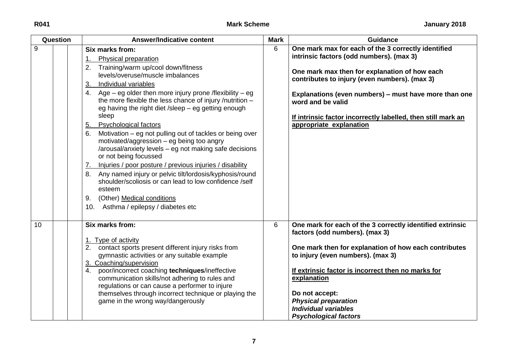| Question | <b>Answer/Indicative content</b>                                                                                                                                                                                                                                                                                                                                                                                                                                                                                                                                                                                                                                                                                                                                                                                                                                                                         | <b>Mark</b> | <b>Guidance</b>                                                                                                                                                                                                                                                                                                                                                            |
|----------|----------------------------------------------------------------------------------------------------------------------------------------------------------------------------------------------------------------------------------------------------------------------------------------------------------------------------------------------------------------------------------------------------------------------------------------------------------------------------------------------------------------------------------------------------------------------------------------------------------------------------------------------------------------------------------------------------------------------------------------------------------------------------------------------------------------------------------------------------------------------------------------------------------|-------------|----------------------------------------------------------------------------------------------------------------------------------------------------------------------------------------------------------------------------------------------------------------------------------------------------------------------------------------------------------------------------|
| 9        | Six marks from:<br>Physical preparation<br>1.<br>2.<br>Training/warm up/cool down/fitness<br>levels/overuse/muscle imbalances<br>Individual variables<br>$\overline{3}$ .<br>Age – eg older then more injury prone /flexibility – eg<br>4.<br>the more flexible the less chance of injury /nutrition -<br>eg having the right diet /sleep - eg getting enough<br>sleep<br><b>Psychological factors</b><br>5.<br>Motivation – eg not pulling out of tackles or being over<br>6.<br>motivated/aggression - eg being too angry<br>/arousal/anxiety levels - eg not making safe decisions<br>or not being focussed<br>Injuries / poor posture / previous injuries / disability<br><u>z.</u><br>Any named injury or pelvic tilt/lordosis/kyphosis/round<br>8.<br>shoulder/scoliosis or can lead to low confidence /self<br>esteem<br>(Other) Medical conditions<br>9.<br>10. Asthma / epilepsy / diabetes etc | 6           | One mark max for each of the 3 correctly identified<br>intrinsic factors (odd numbers). (max 3)<br>One mark max then for explanation of how each<br>contributes to injury (even numbers). (max 3)<br>Explanations (even numbers) – must have more than one<br>word and be valid<br>If intrinsic factor incorrectly labelled, then still mark an<br>appropriate explanation |
| 10       | Six marks from:<br>1. Type of activity<br>2. contact sports present different injury risks from<br>gymnastic activities or any suitable example<br>3. Coaching/supervision<br>4. poor/incorrect coaching techniques/ineffective<br>communication skills/not adhering to rules and<br>regulations or can cause a performer to injure<br>themselves through incorrect technique or playing the<br>game in the wrong way/dangerously                                                                                                                                                                                                                                                                                                                                                                                                                                                                        | 6           | One mark for each of the 3 correctly identified extrinsic<br>factors (odd numbers). (max 3)<br>One mark then for explanation of how each contributes<br>to injury (even numbers). (max 3)<br>If extrinsic factor is incorrect then no marks for<br>explanation<br>Do not accept:<br><b>Physical preparation</b><br>Individual variables<br><b>Psychological factors</b>    |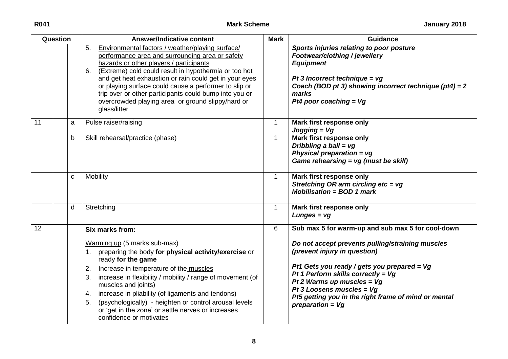| Question |   | <b>Answer/Indicative content</b>                                                                                                                                                                                                                                                                                                                                                                                                                                                                 | <b>Mark</b>  | <b>Guidance</b>                                                                                                                                                                                                                                                                                                                                                             |
|----------|---|--------------------------------------------------------------------------------------------------------------------------------------------------------------------------------------------------------------------------------------------------------------------------------------------------------------------------------------------------------------------------------------------------------------------------------------------------------------------------------------------------|--------------|-----------------------------------------------------------------------------------------------------------------------------------------------------------------------------------------------------------------------------------------------------------------------------------------------------------------------------------------------------------------------------|
|          |   | Environmental factors / weather/playing surface/<br>5.<br>performance area and surrounding area or safety<br>hazards or other players / participants<br>6. (Extreme) cold could result in hypothermia or too hot<br>and get heat exhaustion or rain could get in your eyes<br>or playing surface could cause a performer to slip or<br>trip over or other participants could bump into you or<br>overcrowded playing area or ground slippy/hard or<br>glass/litter                               |              | Sports injuries relating to poor posture<br>Footwear/clothing / jewellery<br><b>Equipment</b><br>Pt 3 Incorrect technique = $vg$<br>Coach (BOD pt 3) showing incorrect technique ( $pt4$ ) = 2<br>marks<br>Pt4 poor coaching = $Vg$                                                                                                                                         |
| 11       | a | Pulse raiser/raising                                                                                                                                                                                                                                                                                                                                                                                                                                                                             | $\mathbf 1$  | Mark first response only<br>$Jogging = Vg$                                                                                                                                                                                                                                                                                                                                  |
|          | b | Skill rehearsal/practice (phase)                                                                                                                                                                                                                                                                                                                                                                                                                                                                 | $\mathbf{1}$ | <b>Mark first response only</b><br>Dribbling a ball = vg<br>Physical preparation = $vg$<br>Game rehearsing = vg (must be skill)                                                                                                                                                                                                                                             |
|          | C | Mobility                                                                                                                                                                                                                                                                                                                                                                                                                                                                                         | $\mathbf{1}$ | Mark first response only<br>Stretching OR arm circling etc = vg<br>$M$ obilisation = BOD 1 mark                                                                                                                                                                                                                                                                             |
|          | d | Stretching                                                                                                                                                                                                                                                                                                                                                                                                                                                                                       | $\mathbf{1}$ | Mark first response only<br>$Lungs = vg$                                                                                                                                                                                                                                                                                                                                    |
| 12       |   | Six marks from:<br>Warming up (5 marks sub-max)<br>preparing the body for physical activity/exercise or<br>$1_{\cdot}$<br>ready for the game<br>2. Increase in temperature of the muscles<br>increase in flexibility / mobility / range of movement (of<br>3.<br>muscles and joints)<br>increase in pliability (of ligaments and tendons)<br>4.<br>(psychologically) - heighten or control arousal levels<br>5.<br>or 'get in the zone' or settle nerves or increases<br>confidence or motivates | 6            | Sub max 5 for warm-up and sub max 5 for cool-down<br>Do not accept prevents pulling/straining muscles<br>(prevent injury in question)<br>Pt1 Gets you ready / gets you prepared = $Vg$<br>Pt 1 Perform skills correctly = $Vg$<br>Pt 2 Warms up muscles = $Vg$<br>Pt 3 Loosens muscles = $Vg$<br>Pt5 getting you in the right frame of mind or mental<br>preparation = $Vg$ |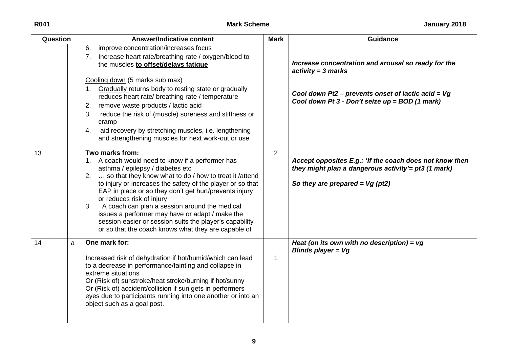| Question |   | <b>Answer/Indicative content</b>                                                                                                                                                                                                                                                                                                                                                                                                                                                                                                                       | <b>Mark</b>    | <b>Guidance</b>                                                                                                                                                                       |
|----------|---|--------------------------------------------------------------------------------------------------------------------------------------------------------------------------------------------------------------------------------------------------------------------------------------------------------------------------------------------------------------------------------------------------------------------------------------------------------------------------------------------------------------------------------------------------------|----------------|---------------------------------------------------------------------------------------------------------------------------------------------------------------------------------------|
|          |   | improve concentration/increases focus<br>6.<br>7. Increase heart rate/breathing rate / oxygen/blood to<br>the muscles to offset/delays fatigue<br>Cooling down (5 marks sub max)<br>1. Gradually returns body to resting state or gradually<br>reduces heart rate/ breathing rate / temperature<br>remove waste products / lactic acid<br>2.<br>reduce the risk of (muscle) soreness and stiffness or<br>3.<br>cramp<br>aid recovery by stretching muscles, i.e. lengthening<br>4.<br>and strengthening muscles for next work-out or use               |                | Increase concentration and arousal so ready for the<br>$activity = 3 marks$<br>Cool down Pt2 – prevents onset of lactic acid = $Vg$<br>Cool down Pt 3 - Don't seize up = BOD (1 mark) |
| 13       |   | Two marks from:<br>1. A coach would need to know if a performer has<br>asthma / epilepsy / diabetes etc<br>2.  so that they know what to do / how to treat it /attend<br>to injury or increases the safety of the player or so that<br>EAP in place or so they don't get hurt/prevents injury<br>or reduces risk of injury<br>A coach can plan a session around the medical<br>3.<br>issues a performer may have or adapt / make the<br>session easier or session suits the player's capability<br>or so that the coach knows what they are capable of | $\overline{2}$ | Accept opposites E.g.: 'if the coach does not know then<br>they might plan a dangerous activity'= pt3 (1 mark)<br>So they are prepared = $Vg$ (pt2)                                   |
| 14       | a | One mark for:<br>Increased risk of dehydration if hot/humid/which can lead<br>to a decrease in performance/fainting and collapse in<br>extreme situations<br>Or (Risk of) sunstroke/heat stroke/burning if hot/sunny<br>Or (Risk of) accident/collision if sun gets in performers<br>eyes due to participants running into one another or into an<br>object such as a goal post.                                                                                                                                                                       | 1              | Heat (on its own with no description) = $vg$<br>Blinds player = $Vg$                                                                                                                  |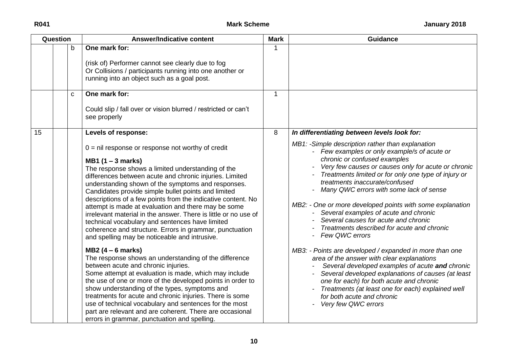| Question |  |    | <b>Answer/Indicative content</b>                                                                                                                                                                                                                                                                                                                                                                                                                                                                                                                                                                                                                                        | <b>Mark</b> | <b>Guidance</b>                                                                                                                                                                                                                                                                                                                                                                                                                                                                                                                            |
|----------|--|----|-------------------------------------------------------------------------------------------------------------------------------------------------------------------------------------------------------------------------------------------------------------------------------------------------------------------------------------------------------------------------------------------------------------------------------------------------------------------------------------------------------------------------------------------------------------------------------------------------------------------------------------------------------------------------|-------------|--------------------------------------------------------------------------------------------------------------------------------------------------------------------------------------------------------------------------------------------------------------------------------------------------------------------------------------------------------------------------------------------------------------------------------------------------------------------------------------------------------------------------------------------|
|          |  | b  | One mark for:<br>(risk of) Performer cannot see clearly due to fog<br>Or Collisions / participants running into one another or<br>running into an object such as a goal post.                                                                                                                                                                                                                                                                                                                                                                                                                                                                                           | 1           |                                                                                                                                                                                                                                                                                                                                                                                                                                                                                                                                            |
|          |  | C. | One mark for:<br>Could slip / fall over or vision blurred / restricted or can't<br>see properly                                                                                                                                                                                                                                                                                                                                                                                                                                                                                                                                                                         | $\mathbf 1$ |                                                                                                                                                                                                                                                                                                                                                                                                                                                                                                                                            |
| 15       |  |    | Levels of response:                                                                                                                                                                                                                                                                                                                                                                                                                                                                                                                                                                                                                                                     | 8           | In differentiating between levels look for:                                                                                                                                                                                                                                                                                                                                                                                                                                                                                                |
|          |  |    | $0 = \text{nil}$ response or response not worthy of credit<br>$MB1$ (1 – 3 marks)<br>The response shows a limited understanding of the<br>differences between acute and chronic injuries. Limited<br>understanding shown of the symptoms and responses.<br>Candidates provide simple bullet points and limited<br>descriptions of a few points from the indicative content. No<br>attempt is made at evaluation and there may be some<br>irrelevant material in the answer. There is little or no use of<br>technical vocabulary and sentences have limited<br>coherence and structure. Errors in grammar, punctuation<br>and spelling may be noticeable and intrusive. |             | MB1: -Simple description rather than explanation<br>- Few examples or only example/s of acute or<br>chronic or confused examples<br>Very few causes or causes only for acute or chronic<br>Treatments limited or for only one type of injury or<br>treatments inaccurate/confused<br>Many QWC errors with some lack of sense<br>MB2: - One or more developed points with some explanation<br>Several examples of acute and chronic<br>Several causes for acute and chronic<br>Treatments described for acute and chronic<br>Few QWC errors |
|          |  |    | $MB2(4-6 marks)$<br>The response shows an understanding of the difference<br>between acute and chronic injuries.<br>Some attempt at evaluation is made, which may include<br>the use of one or more of the developed points in order to<br>show understanding of the types, symptoms and<br>treatments for acute and chronic injuries. There is some<br>use of technical vocabulary and sentences for the most<br>part are relevant and are coherent. There are occasional<br>errors in grammar, punctuation and spelling.                                                                                                                                              |             | MB3: - Points are developed / expanded in more than one<br>area of the answer with clear explanations<br>Several developed examples of acute and chronic<br>Several developed explanations of causes (at least<br>one for each) for both acute and chronic<br>Treatments (at least one for each) explained well<br>for both acute and chronic<br>Very few QWC errors                                                                                                                                                                       |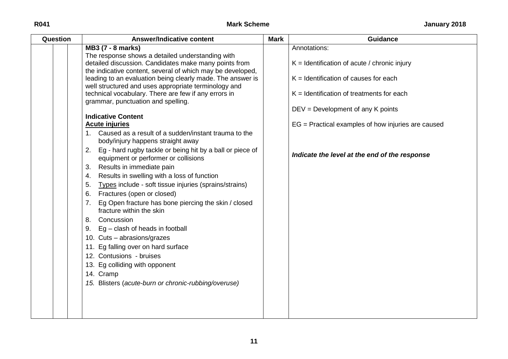| MB3 (7 - 8 marks)<br>Annotations:<br>The response shows a detailed understanding with<br>detailed discussion. Candidates make many points from<br>$K =$ Identification of acute / chronic injury<br>the indicative content, several of which may be developed,<br>leading to an evaluation being clearly made. The answer is<br>$K =$ Identification of causes for each<br>well structured and uses appropriate terminology and<br>technical vocabulary. There are few if any errors in<br>$K =$ Identification of treatments for each<br>grammar, punctuation and spelling.<br>$DEV = Development$ of any K points<br><b>Indicative Content</b><br>$EG = Practical$ examples of how injuries are caused<br><b>Acute injuries</b><br>1. Caused as a result of a sudden/instant trauma to the<br>body/injury happens straight away<br>2. Eg - hard rugby tackle or being hit by a ball or piece of<br>Indicate the level at the end of the response<br>equipment or performer or collisions<br>Results in immediate pain<br>3.<br>Results in swelling with a loss of function<br>4. |
|------------------------------------------------------------------------------------------------------------------------------------------------------------------------------------------------------------------------------------------------------------------------------------------------------------------------------------------------------------------------------------------------------------------------------------------------------------------------------------------------------------------------------------------------------------------------------------------------------------------------------------------------------------------------------------------------------------------------------------------------------------------------------------------------------------------------------------------------------------------------------------------------------------------------------------------------------------------------------------------------------------------------------------------------------------------------------------|
| Types include - soft tissue injuries (sprains/strains)<br>5.<br>Fractures (open or closed)<br>6.<br>Eg Open fracture has bone piercing the skin / closed<br>7.<br>fracture within the skin<br>8. Concussion<br>9. $Eg - clash$ of heads in football<br>10. Cuts - abrasions/grazes<br>11. Eg falling over on hard surface<br>12. Contusions - bruises<br>13. Eg colliding with opponent<br>14. Cramp<br>15. Blisters (acute-burn or chronic-rubbing/overuse)                                                                                                                                                                                                                                                                                                                                                                                                                                                                                                                                                                                                                       |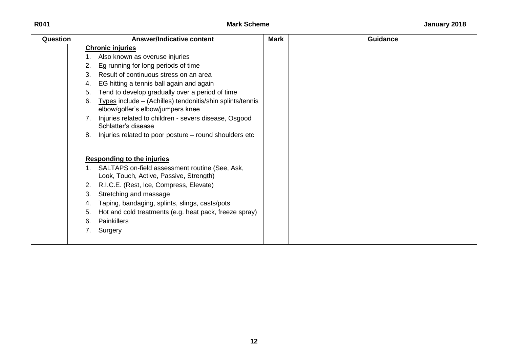## **R041 Mark Scheme January 2018**

| Question | <b>Answer/Indicative content</b>                                                                     | <b>Mark</b> | <b>Guidance</b> |
|----------|------------------------------------------------------------------------------------------------------|-------------|-----------------|
|          | <b>Chronic injuries</b>                                                                              |             |                 |
|          | Also known as overuse injuries                                                                       |             |                 |
|          | Eg running for long periods of time<br>2.                                                            |             |                 |
|          | Result of continuous stress on an area<br>3.                                                         |             |                 |
|          | EG hitting a tennis ball again and again<br>4.                                                       |             |                 |
|          | Tend to develop gradually over a period of time<br>5.                                                |             |                 |
|          | Types include – (Achilles) tendonitis/shin splints/tennis<br>6.<br>elbow/golfer's elbow/jumpers knee |             |                 |
|          | Injuries related to children - severs disease, Osgood<br>Schlatter's disease                         |             |                 |
|          | Injuries related to poor posture – round shoulders etc<br>8.                                         |             |                 |
|          | <b>Responding to the injuries</b>                                                                    |             |                 |
|          | 1. SALTAPS on-field assessment routine (See, Ask,<br>Look, Touch, Active, Passive, Strength)         |             |                 |
|          | R.I.C.E. (Rest, Ice, Compress, Elevate)<br>2.                                                        |             |                 |
|          | Stretching and massage<br>3.                                                                         |             |                 |
|          | Taping, bandaging, splints, slings, casts/pots<br>4.                                                 |             |                 |
|          | Hot and cold treatments (e.g. heat pack, freeze spray)<br>5.                                         |             |                 |
|          | <b>Painkillers</b><br>6.                                                                             |             |                 |
|          | Surgery<br>7.                                                                                        |             |                 |
|          |                                                                                                      |             |                 |